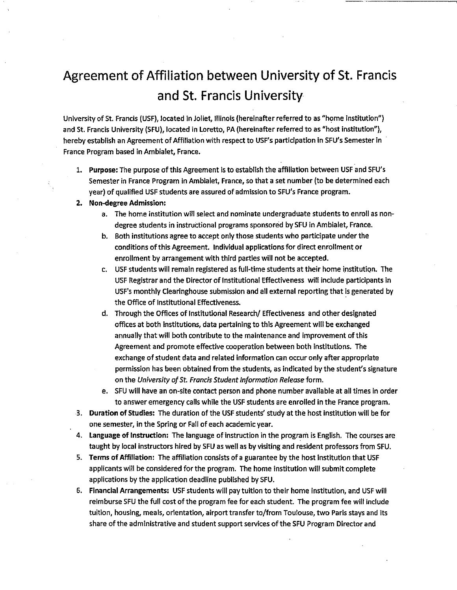## Agreement of Affiliation between University of St. Francis and St. Francis University

University of St. Francis (USF), located in Joliet, Illinois {hereinafter referred to as "home institution") and St. Francis University (SFU), located in Loretto, PA (hereinafter referred to as "host institution"), hereby establish an Agreement of Affiliation with respect to USF's participation in SFU's Semester in France Program based in Ambialet, France.

- 1. **Purpose:** The purpose of this Agreement is to establish the affiliation between USF and SFU's Semester in France Program in Ambialet, France, so that a set number (to be determined each year) of qualified USF students are assured of admission to SFU's France program.
- **2. Non-degree Admission:**
	- a. The home institution will select and nominate undergraduate students to enroll as nondegree students in instructional programs sponsored by SFU in Ambialet, France.
	- b. Both institutions agree to accept only those students who participate under the conditions of this Agreement. Individual applications for direct enrollment or enrollment by arrangement with third parties will not be accepted.
	- c. USF students will remain registered as full-time students at their home institution. The USF Registrar and the Director of Institutional Effectiveness will include participants in USF's monthly Clearinghouse submission and all external reporting that is generated by the Office of Institutional Effectiveness.
	- d. Through the Offices of Institutional Research/ Effectiveness and other designated offices at both institutions, data pertaining to this Agreement will be exchanged annually that will both contribute to the maintenance and improvement of this Agreement and promote effective cooperation between both institutions. The exchange of student data and related information can occur only after appropriate permission has been obtained from the students, as indicated by the student's signature on the University of St. Francis Student Information Release form.
	- e. SFU will have an on-site contact person and phone number available at all times in order to answer emergency calls while the USF students are enrolled in the France program.
- 3. **Duration of Studies:** The duration of the USF students' study at the host institution will be for one semester, in the Spring or Fall of each academic year.
- 4. **Language of Instruction:** The language of instruction in the program is English. The courses are taught by local instructors hired by SFU as well as by visiting and resident professors from SFU.
- 5. **Terms of Affiliation:** The affiliation consists of a guarantee by the host institution that USF applicants will be considered for the program. The home institution will submit complete applications by the application deadline published by SFU.
- 6. Financial **Arrangements:** USF students will pay tuition to their home institution, and USF will reimburse SFU the full cost of the program fee for each student. The program fee will include tuition, housing, meals, orientation, airport transfer to/from Toulouse, two Paris stays and its share of the administrative and student support services of the SFU Program Director and